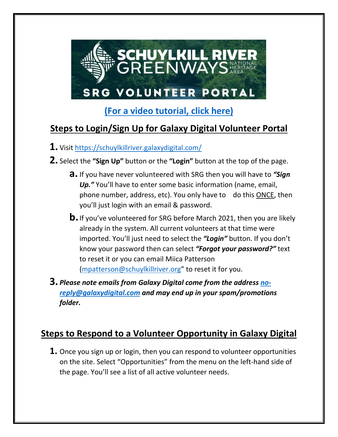

## **[\(For a video tutorial, click here\)](https://schuylkillriver.org/wp-content/uploads/2021/08/Galaxy-Digital-for-Volunteers_small.mp4)**

## **Steps to Login/Sign Up for Galaxy Digital Volunteer Portal**

- **1.** Visit<https://schuylkillriver.galaxydigital.com/>
- **2.** Select the **"Sign Up"** button or the **"Login"** button at the top of the page.
	- **a.** If you have never volunteered with SRG then you will have to *"Sign Up."* You'll have to enter some basic information (name, email, phone number, address, etc). You only have to do this ONCE, then you'll just login with an email & password.
	- **b.**If you've volunteered for SRG before March 2021, then you are likely already in the system. All current volunteers at that time were imported. You'll just need to select the *"Login"* button. If you don't know your password then can select *"Forgot your password?"* text to reset it or you can email Miica Patterson [\(mpatterson@schuylkillriver.org](mailto:mpatterson@schuylkillriver.org)" to reset it for you.
- **3.** *Please note emails from Galaxy Digital come from the address [no](mailto:no-reply@galaxydigital.com)[reply@galaxydigital.com](mailto:no-reply@galaxydigital.com) and may end up in your spam/promotions folder.*

## **Steps to Respond to a Volunteer Opportunity in Galaxy Digital**

**1.** Once you sign up or login, then you can respond to volunteer opportunities on the site. Select "Opportunities" from the menu on the left-hand side of the page. You'll see a list of all active volunteer needs.